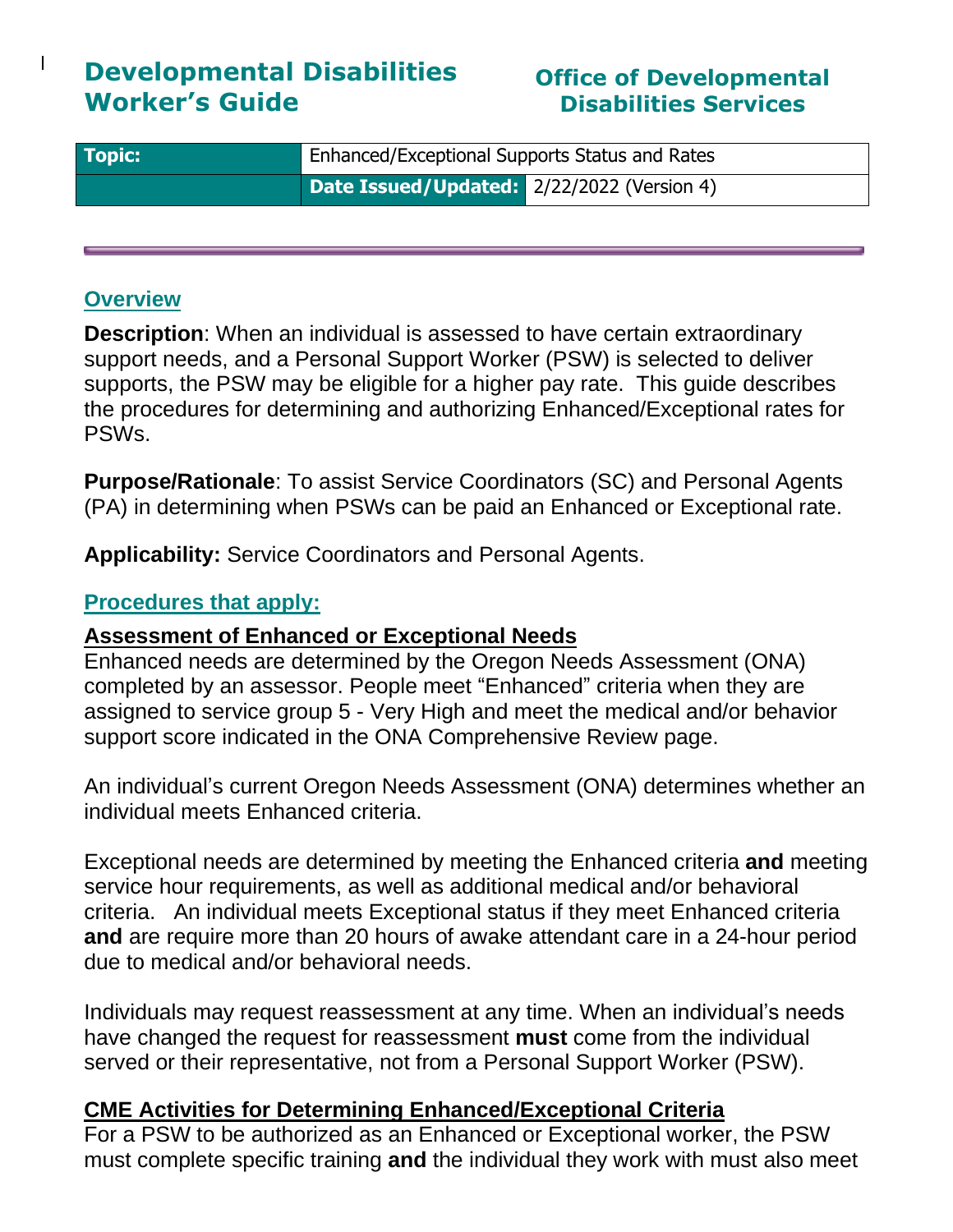# **Developmental Disabilities Worker's Guide**

## **Office of Developmental Disabilities Services**

| <b>Topic:</b> | <b>Enhanced/Exceptional Supports Status and Rates</b> |  |  |  |  |
|---------------|-------------------------------------------------------|--|--|--|--|
|               | Date Issued/Updated: 2/22/2022 (Version 4)            |  |  |  |  |

#### **Overview**

 $\mathbf{I}$ 

**Description**: When an individual is assessed to have certain extraordinary support needs, and a Personal Support Worker (PSW) is selected to deliver supports, the PSW may be eligible for a higher pay rate. This guide describes the procedures for determining and authorizing Enhanced/Exceptional rates for PSWs.

**Purpose/Rationale**: To assist Service Coordinators (SC) and Personal Agents (PA) in determining when PSWs can be paid an Enhanced or Exceptional rate.

**Applicability:** Service Coordinators and Personal Agents.

#### **Procedures that apply:**

#### **Assessment of Enhanced or Exceptional Needs**

Enhanced needs are determined by the Oregon Needs Assessment (ONA) completed by an assessor. People meet "Enhanced" criteria when they are assigned to service group 5 - Very High and meet the medical and/or behavior support score indicated in the ONA Comprehensive Review page.

An individual's current Oregon Needs Assessment (ONA) determines whether an individual meets Enhanced criteria.

Exceptional needs are determined by meeting the Enhanced criteria **and** meeting service hour requirements, as well as additional medical and/or behavioral criteria. An individual meets Exceptional status if they meet Enhanced criteria **and** are require more than 20 hours of awake attendant care in a 24-hour period due to medical and/or behavioral needs.

Individuals may request reassessment at any time. When an individual's needs have changed the request for reassessment **must** come from the individual served or their representative, not from a Personal Support Worker (PSW).

#### **CME Activities for Determining Enhanced/Exceptional Criteria**

For a PSW to be authorized as an Enhanced or Exceptional worker, the PSW must complete specific training **and** the individual they work with must also meet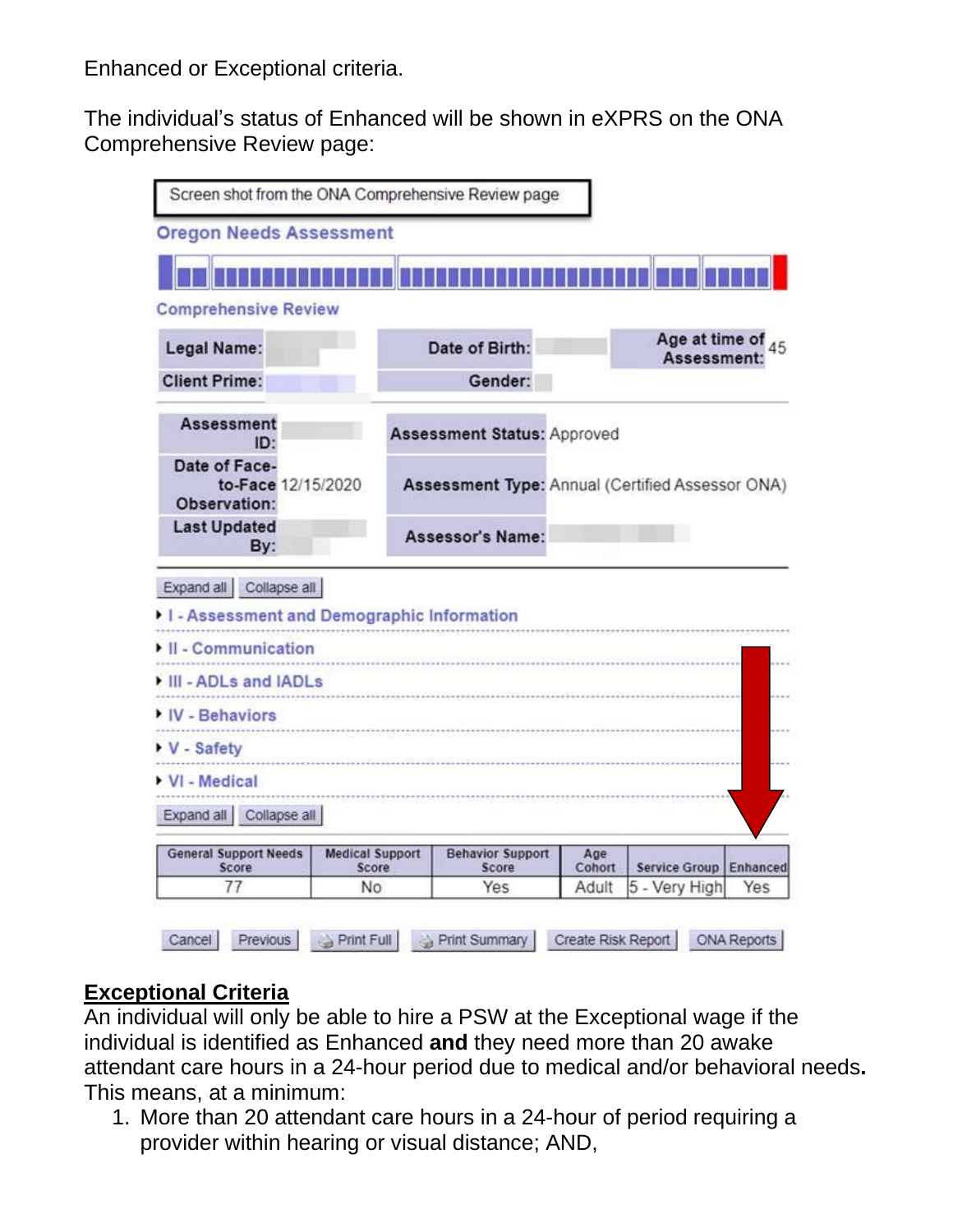Enhanced or Exceptional criteria.

The individual's status of Enhanced will be shown in eXPRS on the ONA Comprehensive Review page:

| <b>Oregon Needs Assessment</b>                                                                                           |                                 |                                                  |               |                                  |                      |
|--------------------------------------------------------------------------------------------------------------------------|---------------------------------|--------------------------------------------------|---------------|----------------------------------|----------------------|
|                                                                                                                          |                                 |                                                  |               |                                  |                      |
| <b>Comprehensive Review</b>                                                                                              |                                 |                                                  |               |                                  |                      |
| Legal Name:                                                                                                              |                                 | Date of Birth:                                   |               | Age at time of 45<br>Assessment: |                      |
| <b>Client Prime:</b>                                                                                                     |                                 | Gender:                                          |               |                                  |                      |
| <b>Assessment</b><br>ID:                                                                                                 |                                 | <b>Assessment Status: Approved</b>               |               |                                  |                      |
| Date of Face-<br>to-Face 12/15/2020<br>Observation:                                                                      |                                 | Assessment Type: Annual (Certified Assessor ONA) |               |                                  |                      |
| <b>Last Updated</b>                                                                                                      |                                 | Assessor's Name:                                 |               |                                  |                      |
| By:                                                                                                                      |                                 |                                                  |               |                                  |                      |
| Expand all Collapse all                                                                                                  |                                 |                                                  |               |                                  |                      |
|                                                                                                                          |                                 |                                                  |               |                                  |                      |
|                                                                                                                          |                                 |                                                  |               |                                  |                      |
|                                                                                                                          |                                 |                                                  |               |                                  |                      |
|                                                                                                                          |                                 |                                                  |               |                                  |                      |
|                                                                                                                          |                                 |                                                  |               |                                  |                      |
| I - Assessment and Demographic Information<br>II - Communication<br>III - ADLs and IADLs<br>IV - Behaviors<br>V - Safety |                                 |                                                  |               |                                  |                      |
|                                                                                                                          |                                 |                                                  |               |                                  |                      |
| Expand all Collapse all                                                                                                  |                                 |                                                  |               |                                  |                      |
| VI - Medical<br><b>General Support Needs</b><br>Score                                                                    | <b>Medical Support</b><br>Score | <b>Behavior Support</b><br>Score                 | Age<br>Cohort | <b>Service Group</b>             | $-1 - 1$<br>Enhanced |

## **Exceptional Criteria**

An individual will only be able to hire a PSW at the Exceptional wage if the individual is identified as Enhanced **and** they need more than 20 awake attendant care hours in a 24-hour period due to medical and/or behavioral needs**.** This means, at a minimum:

1. More than 20 attendant care hours in a 24-hour of period requiring a provider within hearing or visual distance; AND,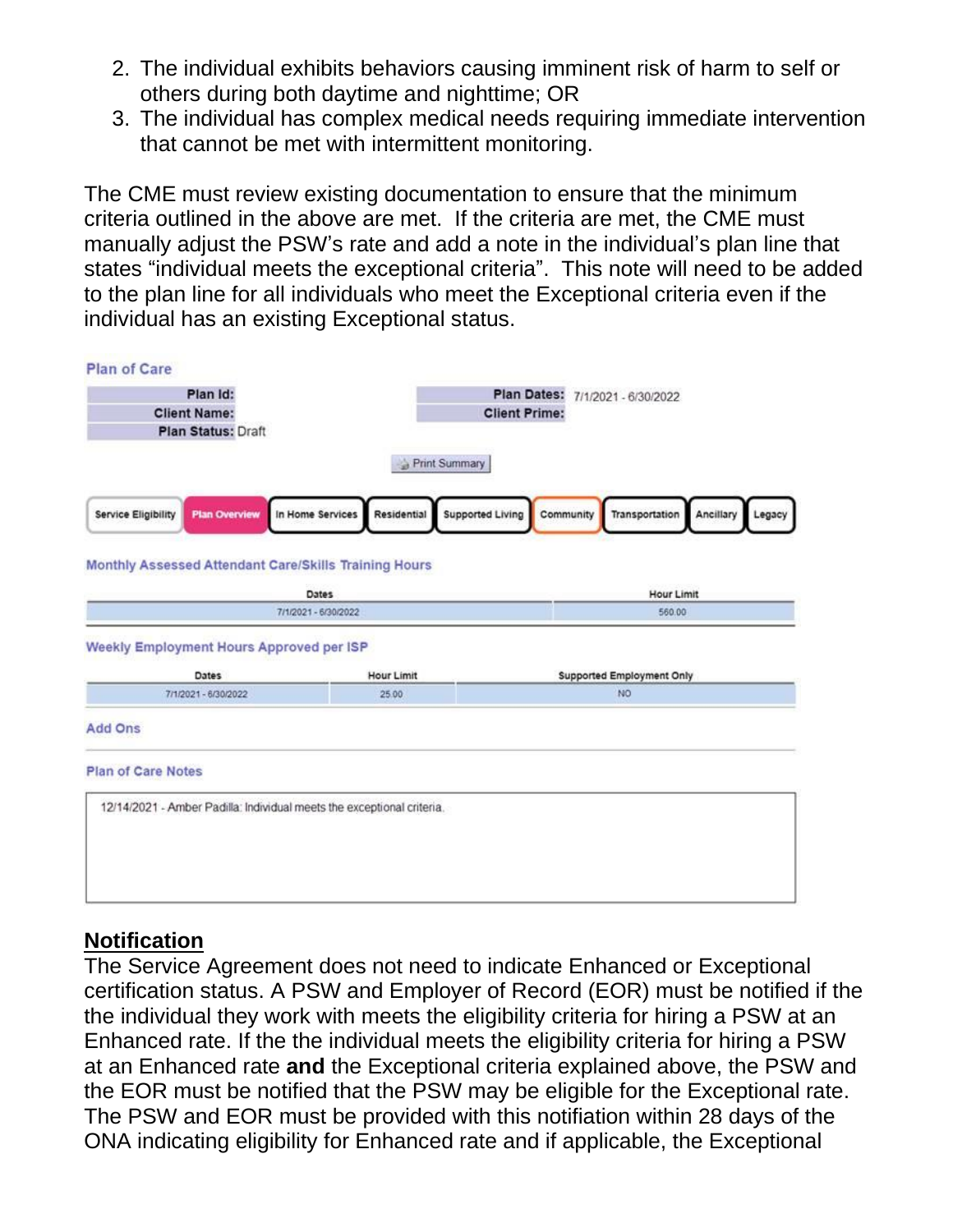- 2. The individual exhibits behaviors causing imminent risk of harm to self or others during both daytime and nighttime; OR
- 3. The individual has complex medical needs requiring immediate intervention that cannot be met with intermittent monitoring.

The CME must review existing documentation to ensure that the minimum criteria outlined in the above are met. If the criteria are met, the CME must manually adjust the PSW's rate and add a note in the individual's plan line that states "individual meets the exceptional criteria". This note will need to be added to the plan line for all individuals who meet the Exceptional criteria even if the individual has an existing Exceptional status.



#### **Notification**

The Service Agreement does not need to indicate Enhanced or Exceptional certification status. A PSW and Employer of Record (EOR) must be notified if the the individual they work with meets the eligibility criteria for hiring a PSW at an Enhanced rate. If the the individual meets the eligibility criteria for hiring a PSW at an Enhanced rate **and** the Exceptional criteria explained above, the PSW and the EOR must be notified that the PSW may be eligible for the Exceptional rate. The PSW and EOR must be provided with this notifiation within 28 days of the ONA indicating eligibility for Enhanced rate and if applicable, the Exceptional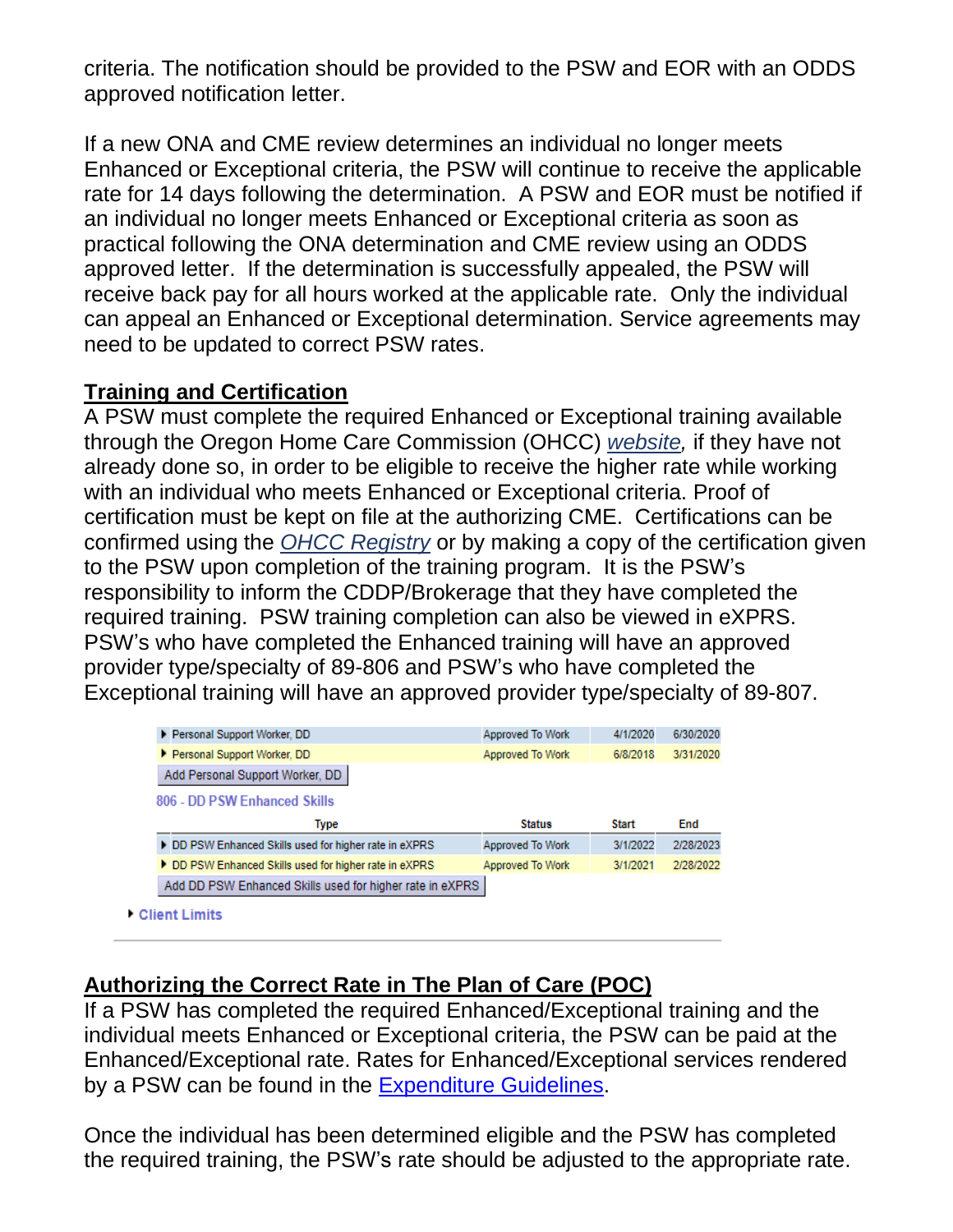criteria. The notification should be provided to the PSW and EOR with an ODDS approved notification letter.

If a new ONA and CME review determines an individual no longer meets Enhanced or Exceptional criteria, the PSW will continue to receive the applicable rate for 14 days following the determination. A PSW and EOR must be notified if an individual no longer meets Enhanced or Exceptional criteria as soon as practical following the ONA determination and CME review using an ODDS approved letter. If the determination is successfully appealed, the PSW will receive back pay for all hours worked at the applicable rate. Only the individual can appeal an Enhanced or Exceptional determination. Service agreements may need to be updated to correct PSW rates.

#### **Training and Certification**

A PSW must complete the required Enhanced or Exceptional training available through the Oregon Home Care Commission (OHCC) *[website,](http://www.oregon.gov/dhs/spd/pages/adv/hcc/index.aspx)* if they have not already done so, in order to be eligible to receive the higher rate while working with an individual who meets Enhanced or Exceptional criteria. Proof of certification must be kept on file at the authorizing CME. Certifications can be confirmed using the *[OHCC Registry](https://or-hcc.org/)* or by making a copy of the certification given to the PSW upon completion of the training program. It is the PSW's responsibility to inform the CDDP/Brokerage that they have completed the required training. PSW training completion can also be viewed in eXPRS. PSW's who have completed the Enhanced training will have an approved provider type/specialty of 89-806 and PSW's who have completed the Exceptional training will have an approved provider type/specialty of 89-807.

| Personal Support Worker, DD                                                                                  | Approved To Work | 4/1/2020     | 6/30/2020 |
|--------------------------------------------------------------------------------------------------------------|------------------|--------------|-----------|
| Personal Support Worker, DD                                                                                  | Approved To Work | 6/8/2018     | 3/31/2020 |
| Add Personal Support Worker, DD                                                                              |                  |              |           |
| 806 - DD PSW Enhanced Skills                                                                                 |                  |              |           |
|                                                                                                              |                  |              |           |
| Type                                                                                                         | <b>Status</b>    | <b>Start</b> | End       |
|                                                                                                              | Approved To Work | 3/1/2022     | 2/28/2023 |
| DD PSW Enhanced Skills used for higher rate in eXPRS<br>DD PSW Enhanced Skills used for higher rate in eXPRS | Approved To Work | 3/1/2021     | 2/28/2022 |
| Add DD PSW Enhanced Skills used for higher rate in eXPRS                                                     |                  |              |           |

### **Authorizing the Correct Rate in The Plan of Care (POC)**

If a PSW has completed the required Enhanced/Exceptional training and the individual meets Enhanced or Exceptional criteria, the PSW can be paid at the Enhanced/Exceptional rate. Rates for Enhanced/Exceptional services rendered by a PSW can be found in the [Expenditure](https://www.oregon.gov/DHS/SENIORS-DISABILITIES/DD/PROVIDERS-PARTNERS/Documents/ODDS-Expenditure-Guidelines.pdf) Guidelines.

Once the individual has been determined eligible and the PSW has completed the required training, the PSW's rate should be adjusted to the appropriate rate.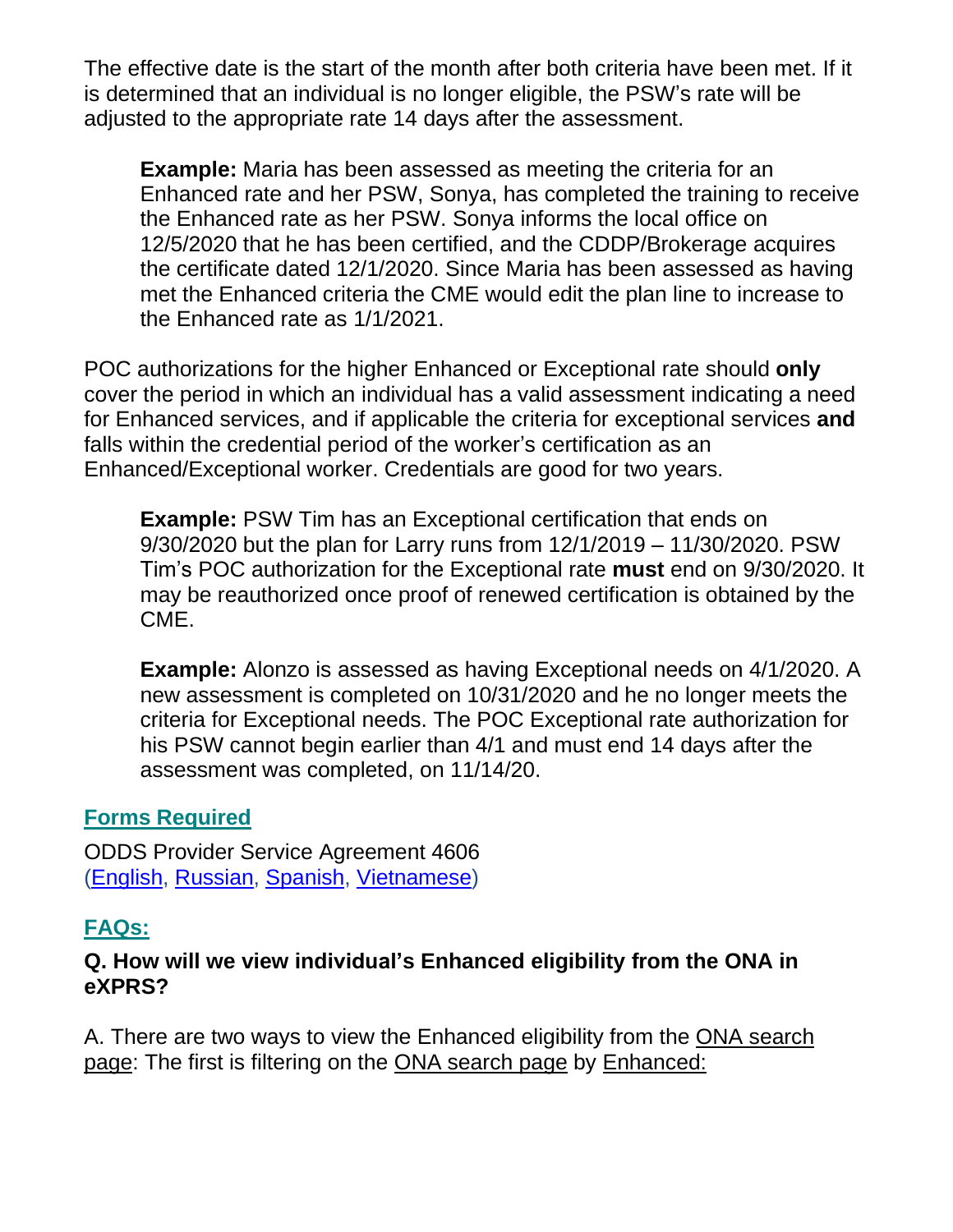The effective date is the start of the month after both criteria have been met. If it is determined that an individual is no longer eligible, the PSW's rate will be adjusted to the appropriate rate 14 days after the assessment.

**Example:** Maria has been assessed as meeting the criteria for an Enhanced rate and her PSW, Sonya, has completed the training to receive the Enhanced rate as her PSW. Sonya informs the local office on 12/5/2020 that he has been certified, and the CDDP/Brokerage acquires the certificate dated 12/1/2020. Since Maria has been assessed as having met the Enhanced criteria the CME would edit the plan line to increase to the Enhanced rate as 1/1/2021.

POC authorizations for the higher Enhanced or Exceptional rate should **only** cover the period in which an individual has a valid assessment indicating a need for Enhanced services, and if applicable the criteria for exceptional services **and** falls within the credential period of the worker's certification as an Enhanced/Exceptional worker. Credentials are good for two years.

**Example:** PSW Tim has an Exceptional certification that ends on 9/30/2020 but the plan for Larry runs from 12/1/2019 – 11/30/2020. PSW Tim's POC authorization for the Exceptional rate **must** end on 9/30/2020. It may be reauthorized once proof of renewed certification is obtained by the CME.

**Example:** Alonzo is assessed as having Exceptional needs on 4/1/2020. A new assessment is completed on 10/31/2020 and he no longer meets the criteria for Exceptional needs. The POC Exceptional rate authorization for his PSW cannot begin earlier than 4/1 and must end 14 days after the assessment was completed, on 11/14/20.

#### **Forms Required**

ODDS Provider Service Agreement 4606 [\(English,](https://sharedsystems.dhsoha.state.or.us/DHSForms/Served/se4606.pdf) [Russian,](https://sharedsystems.dhsoha.state.or.us/DHSForms/Served/sr4606.pdf) [Spanish,](https://sharedsystems.dhsoha.state.or.us/DHSForms/Served/ss4606.pdf) [Vietnamese\)](https://sharedsystems.dhsoha.state.or.us/DHSForms/Served/sv4606.pdf)

## **FAQs:**

#### **Q. How will we view individual's Enhanced eligibility from the ONA in eXPRS?**

A. There are two ways to view the Enhanced eligibility from the ONA search page: The first is filtering on the ONA search page by Enhanced: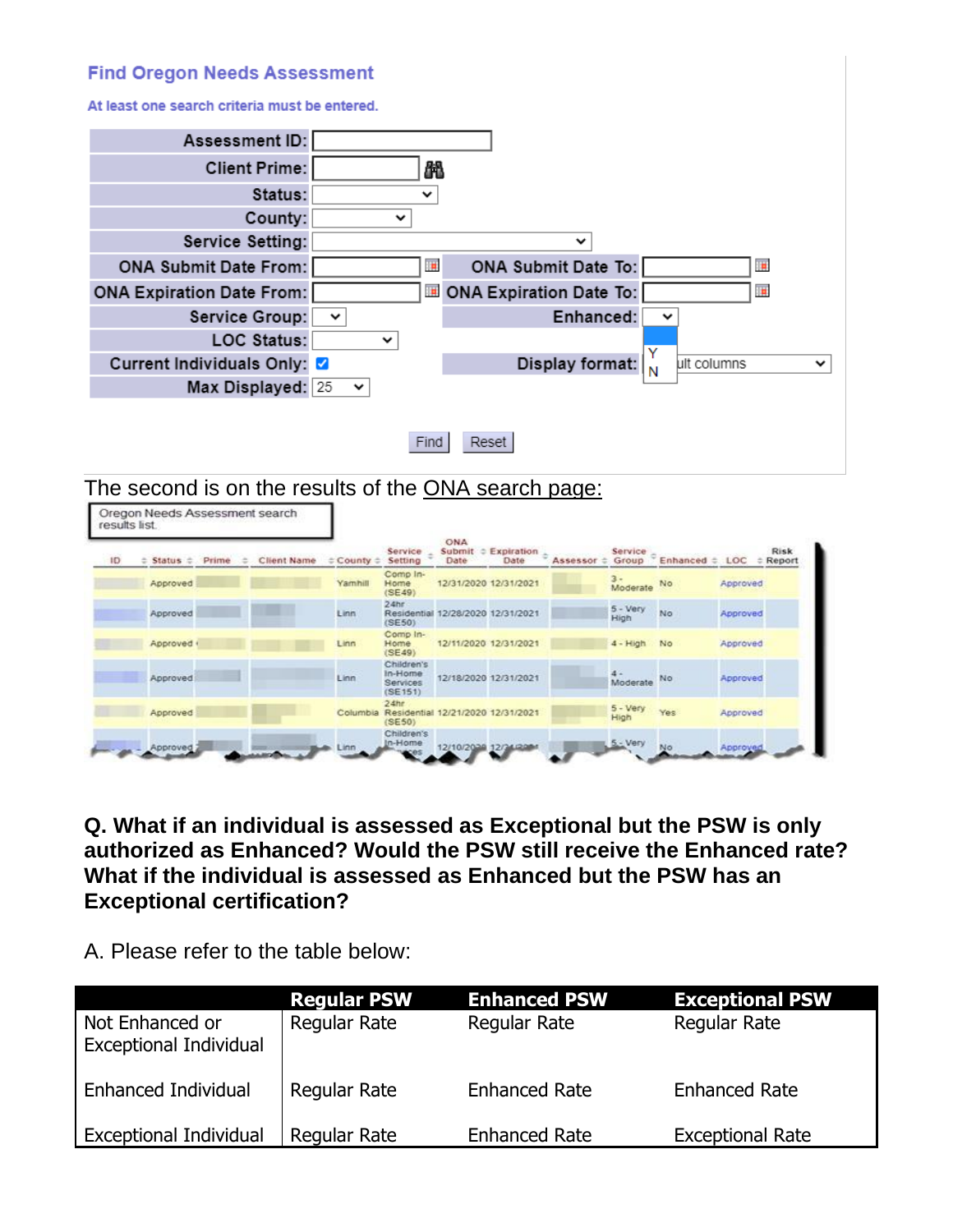#### **Find Oregon Needs Assessment**

At least one search criteria must be entered.

Oregon Needs Assessment search



Find Reset

The second is on the results of the ONA search page:

| results list. |                      |       |   |             |                      |                                                                 |                                        |                       |          |                   |                 |          |                         |
|---------------|----------------------|-------|---|-------------|----------------------|-----------------------------------------------------------------|----------------------------------------|-----------------------|----------|-------------------|-----------------|----------|-------------------------|
| ID            | $\div$ Status $\div$ | Prime | = | Client Name | $\div$ County $\div$ | Service<br>Setting                                              | ONA<br>Submit<br>$\Rightarrow$<br>Date | Expiration<br>Date    | Assessor | Service<br>Group  | Enhanced $\div$ | LOC      | <b>Risk</b><br>: Report |
|               | Approved             |       |   |             | Yamhill              | Comp In-<br>Home<br>(SE49)                                      |                                        | 12/31/2020 12/31/2021 |          | $3 -$<br>Moderate | No              | Approved |                         |
|               | Approved             |       |   |             | Linn.                | 2.4 <sub>hr</sub><br>Residential<br>(SE50)                      |                                        | 12/28/2020 12/31/2021 |          | 5 - Very<br>High  | No              | Approved |                         |
|               | Approved +           |       |   |             | Linn                 | Comp In-<br>Home<br>(SE49)                                      |                                        | 12/11/2020 12/31/2021 |          | $4 - High$        | No              | Approved |                         |
|               | Approved             |       |   |             | Linn                 | Children's<br>In-Home<br><b>Services</b><br>(SE151)             |                                        | 12/18/2020 12/31/2021 |          | Moderate          | No              | Approved |                         |
|               | Approved             |       |   |             |                      | $24$ hr<br>Columbia Residential 12/21/2020 12/31/2021<br>(SE50) |                                        |                       |          | 5 - Very<br>High  | Yes             | Approved |                         |
|               | Approved             |       |   |             | inn                  | Children's<br>In-Home                                           | 12/10/2020 12/24                       |                       |          | 5. Very           |                 | Approved |                         |

**Q. What if an individual is assessed as Exceptional but the PSW is only authorized as Enhanced? Would the PSW still receive the Enhanced rate? What if the individual is assessed as Enhanced but the PSW has an Exceptional certification?** 

A. Please refer to the table below:

|                                                  | <b>Regular PSW</b> | <b>Enhanced PSW</b>  | <b>Exceptional PSW</b>  |
|--------------------------------------------------|--------------------|----------------------|-------------------------|
| Not Enhanced or<br><b>Exceptional Individual</b> | Regular Rate       | Regular Rate         | Regular Rate            |
| Enhanced Individual                              | Regular Rate       | <b>Enhanced Rate</b> | <b>Enhanced Rate</b>    |
| <b>Exceptional Individual</b>                    | Regular Rate       | <b>Enhanced Rate</b> | <b>Exceptional Rate</b> |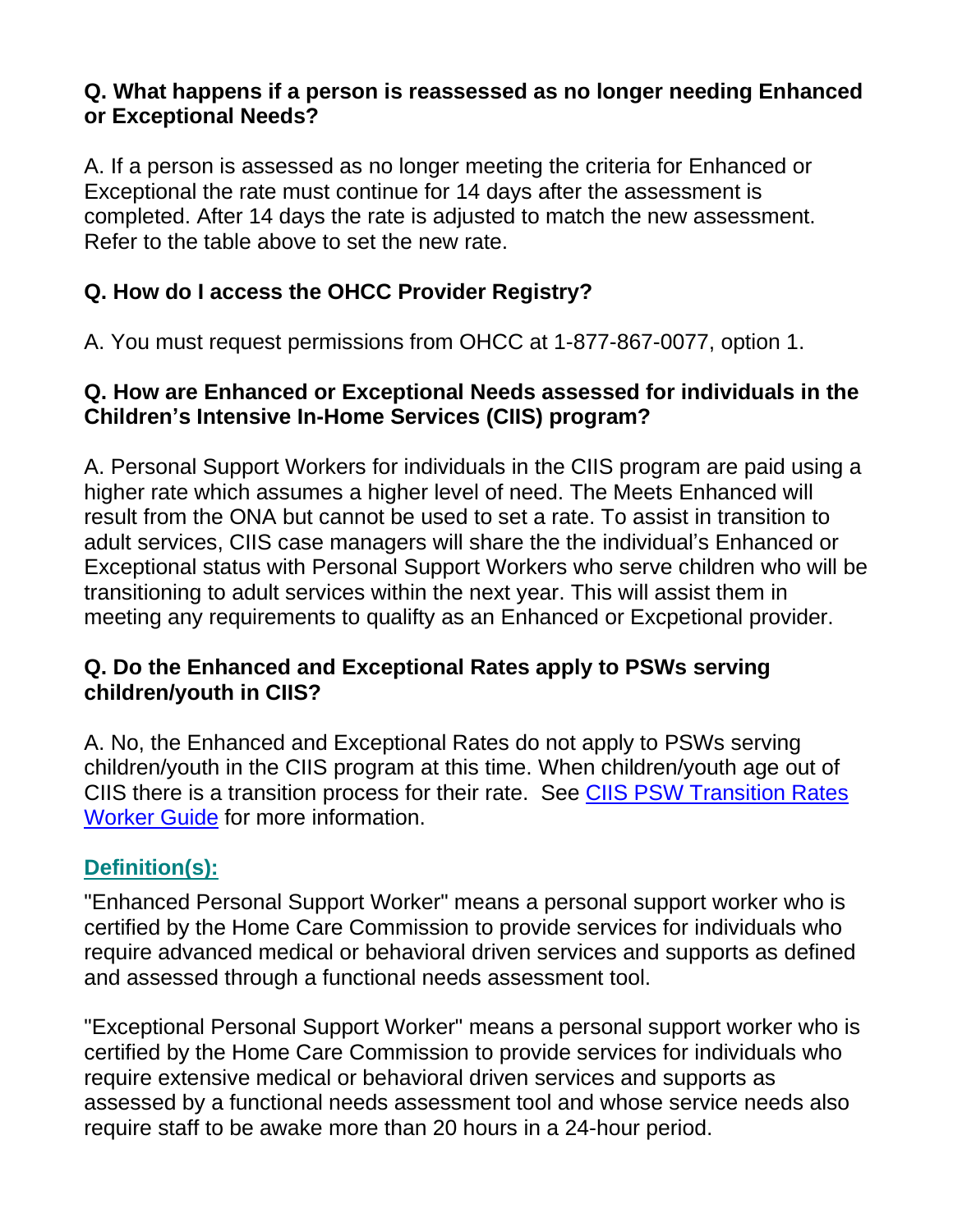#### **Q. What happens if a person is reassessed as no longer needing Enhanced or Exceptional Needs?**

A. If a person is assessed as no longer meeting the criteria for Enhanced or Exceptional the rate must continue for 14 days after the assessment is completed. After 14 days the rate is adjusted to match the new assessment. Refer to the table above to set the new rate.

### **Q. How do I access the OHCC Provider Registry?**

A. You must request permissions from OHCC at 1-877-867-0077, option 1.

### **Q. How are Enhanced or Exceptional Needs assessed for individuals in the Children's Intensive In-Home Services (CIIS) program?**

A. Personal Support Workers for individuals in the CIIS program are paid using a higher rate which assumes a higher level of need. The Meets Enhanced will result from the ONA but cannot be used to set a rate. To assist in transition to adult services, CIIS case managers will share the the individual's Enhanced or Exceptional status with Personal Support Workers who serve children who will be transitioning to adult services within the next year. This will assist them in meeting any requirements to qualifty as an Enhanced or Excpetional provider.

### **Q. Do the Enhanced and Exceptional Rates apply to PSWs serving children/youth in CIIS?**

A. No, the Enhanced and Exceptional Rates do not apply to PSWs serving children/youth in the CIIS program at this time. When children/youth age out of CIIS there is a transition process for their rate. See CIIS PSW Transition Rates [Worker Guide](http://www.dhs.state.or.us/spd/tools/dd/bpa/CIIS-PSW-Transition-Rates.pdf) for more information.

## **Definition(s):**

"Enhanced Personal Support Worker" means a personal support worker who is certified by the Home Care Commission to provide services for individuals who require advanced medical or behavioral driven services and supports as defined and assessed through a functional needs assessment tool.

"Exceptional Personal Support Worker" means a personal support worker who is certified by the Home Care Commission to provide services for individuals who require extensive medical or behavioral driven services and supports as assessed by a functional needs assessment tool and whose service needs also require staff to be awake more than 20 hours in a 24-hour period.